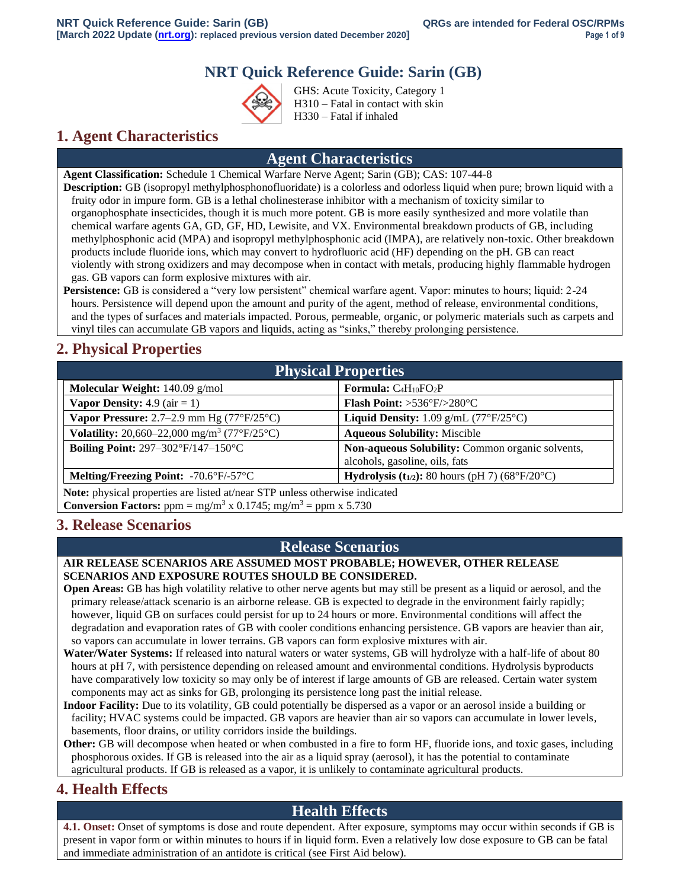# **NRT Quick Reference Guide: Sarin (GB)**



GHS: Acute Toxicity, Category 1 H310 – Fatal in contact with skin H330 – Fatal if inhaled

## **1. Agent Characteristics**

### **Agent Characteristics**

**Agent Classification:** Schedule 1 Chemical Warfare Nerve Agent; Sarin (GB); CAS: 107-44-8 **Description:** GB (isopropyl methylphosphonofluoridate) is a colorless and odorless liquid when pure; brown liquid with a fruity odor in impure form. GB is a lethal cholinesterase inhibitor with a mechanism of toxicity similar to organophosphate insecticides, though it is much more potent. GB is more easily synthesized and more volatile than chemical warfare agents GA, GD, GF, HD, Lewisite, and VX. Environmental breakdown products of GB, including methylphosphonic acid (MPA) and isopropyl methylphosphonic acid (IMPA), are relatively non-toxic. Other breakdown products include fluoride ions, which may convert to hydrofluoric acid (HF) depending on the pH. GB can react violently with strong oxidizers and may decompose when in contact with metals, producing highly flammable hydrogen gas. GB vapors can form explosive mixtures with air.

**Persistence:** GB is considered a "very low persistent" chemical warfare agent. Vapor: minutes to hours; liquid: 2-24 hours. Persistence will depend upon the amount and purity of the agent, method of release, environmental conditions, and the types of surfaces and materials impacted. Porous, permeable, organic, or polymeric materials such as carpets and vinyl tiles can accumulate GB vapors and liquids, acting as "sinks," thereby prolonging persistence.

# **2. Physical Properties**

| <b>Physical Properties</b>                                                         |                                                                                    |  |
|------------------------------------------------------------------------------------|------------------------------------------------------------------------------------|--|
| Molecular Weight: $140.09$ g/mol                                                   | <b>Formula:</b> $C_4H_{10}FO_2P$                                                   |  |
| <b>Vapor Density:</b> 4.9 ( $air = 1$ )                                            | <b>Flash Point:</b> $>536^{\circ}F/>280^{\circ}C$                                  |  |
| Vapor Pressure: $2.7-2.9$ mm Hg $(77°F/25°C)$                                      | Liquid Density: $1.09$ g/mL (77°F/25°C)                                            |  |
| <b>Volatility:</b> 20,660–22,000 mg/m <sup>3</sup> (77°F/25°C)                     | <b>Aqueous Solubility: Miscible</b>                                                |  |
| Boiling Point: $297-302\text{°F}/147-150\text{°C}$                                 | Non-aqueous Solubility: Common organic solvents,<br>alcohols, gasoline, oils, fats |  |
| <b>Melting/Freezing Point:</b> $-70.6^{\circ}F/-57^{\circ}C$                       | <b>Hydrolysis (t</b> <sub>1/2</sub> ): 80 hours (pH 7) (68°F/20°C)                 |  |
| <b>Note:</b> physical properties are listed at/near STP unless otherwise indicated |                                                                                    |  |

**Note:** physical properties are listed at/near STP unless otherwise indicated **Conversion Factors:** ppm =  $mg/m^3$  x 0.1745; mg/m<sup>3</sup> = ppm x 5.730

## **3. Release Scenarios**

### **Release Scenarios**

### **AIR RELEASE SCENARIOS ARE ASSUMED MOST PROBABLE; HOWEVER, OTHER RELEASE SCENARIOS AND EXPOSURE ROUTES SHOULD BE CONSIDERED.**

**Open Areas:** GB has high volatility relative to other nerve agents but may still be present as a liquid or aerosol, and the primary release/attack scenario is an airborne release. GB is expected to degrade in the environment fairly rapidly; however, liquid GB on surfaces could persist for up to 24 hours or more. Environmental conditions will affect the degradation and evaporation rates of GB with cooler conditions enhancing persistence. GB vapors are heavier than air, so vapors can accumulate in lower terrains. GB vapors can form explosive mixtures with air.

- **Water/Water Systems:** If released into natural waters or water systems, GB will hydrolyze with a half-life of about 80 hours at pH 7, with persistence depending on released amount and environmental conditions. Hydrolysis byproducts have comparatively low toxicity so may only be of interest if large amounts of GB are released. Certain water system components may act as sinks for GB, prolonging its persistence long past the initial release.
- **Indoor Facility:** Due to its volatility, GB could potentially be dispersed as a vapor or an aerosol inside a building or facility; HVAC systems could be impacted. GB vapors are heavier than air so vapors can accumulate in lower levels, basements, floor drains, or utility corridors inside the buildings.
- **Other:** GB will decompose when heated or when combusted in a fire to form HF, fluoride ions, and toxic gases, including phosphorous oxides. If GB is released into the air as a liquid spray (aerosol), it has the potential to contaminate agricultural products. If GB is released as a vapor, it is unlikely to contaminate agricultural products.

## **4. Health Effects**

## **Health Effects**

**4.1. Onset:** Onset of symptoms is dose and route dependent. After exposure, symptoms may occur within seconds if GB is present in vapor form or within minutes to hours if in liquid form. Even a relatively low dose exposure to GB can be fatal and immediate administration of an antidote is critical (see First Aid below).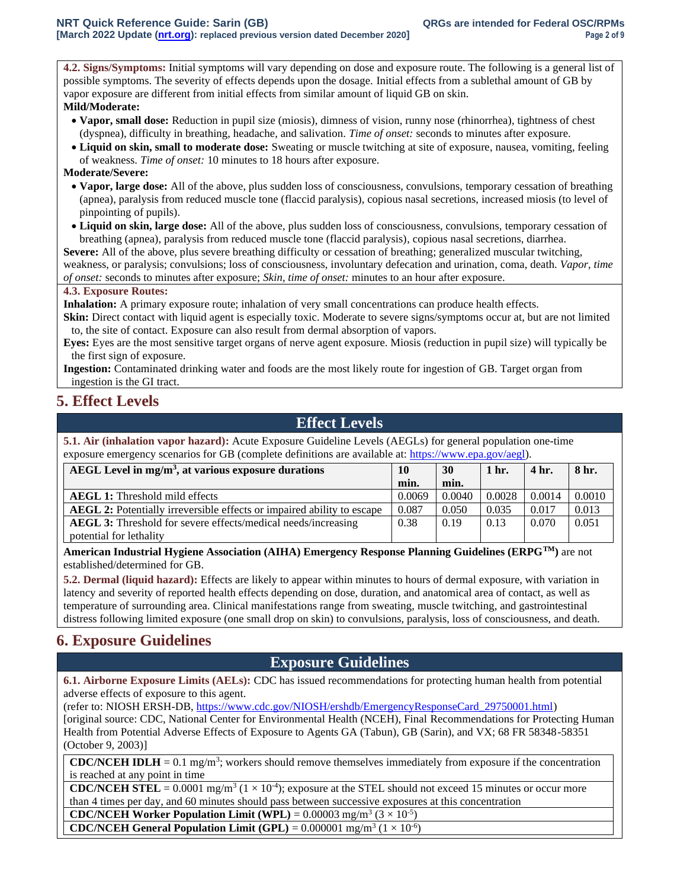**4.2. Signs/Symptoms:** Initial symptoms will vary depending on dose and exposure route. The following is a general list of possible symptoms. The severity of effects depends upon the dosage. Initial effects from a sublethal amount of GB by vapor exposure are different from initial effects from similar amount of liquid GB on skin. **Mild/Moderate:**

- **Vapor, small dose:** Reduction in pupil size (miosis), dimness of vision, runny nose (rhinorrhea), tightness of chest (dyspnea), difficulty in breathing, headache, and salivation. *Time of onset:* seconds to minutes after exposure.
- **Liquid on skin, small to moderate dose:** Sweating or muscle twitching at site of exposure, nausea, vomiting, feeling of weakness. *Time of onset:* 10 minutes to 18 hours after exposure.

#### **Moderate/Severe:**

- **Vapor, large dose:** All of the above, plus sudden loss of consciousness, convulsions, temporary cessation of breathing (apnea), paralysis from reduced muscle tone (flaccid paralysis), copious nasal secretions, increased miosis (to level of pinpointing of pupils).
- **Liquid on skin, large dose:** All of the above, plus sudden loss of consciousness, convulsions, temporary cessation of breathing (apnea), paralysis from reduced muscle tone (flaccid paralysis), copious nasal secretions, diarrhea.

**Severe:** All of the above, plus severe breathing difficulty or cessation of breathing; generalized muscular twitching, weakness, or paralysis; convulsions; loss of consciousness, involuntary defecation and urination, coma, death. *Vapor, time of onset:* seconds to minutes after exposure; *Skin, time of onset:* minutes to an hour after exposure.

### **4.3. Exposure Routes:**

**Inhalation:** A primary exposure route; inhalation of very small concentrations can produce health effects.

**Skin:** Direct contact with liquid agent is especially toxic. Moderate to severe signs/symptoms occur at, but are not limited to, the site of contact. Exposure can also result from dermal absorption of vapors.

**Eyes:** Eyes are the most sensitive target organs of nerve agent exposure. Miosis (reduction in pupil size) will typically be the first sign of exposure.

**Ingestion:** Contaminated drinking water and foods are the most likely route for ingestion of GB. Target organ from ingestion is the GI tract.

### **5. Effect Levels**

### **Effect Levels**

**5.1. Air (inhalation vapor hazard):** Acute Exposure Guideline Levels (AEGLs) for general population one-time exposure emergency scenarios for GB (complete definitions are available at: [https://www.epa.gov/aegl\)](https://www.epa.gov/aegl).

| AEGL Level in $mg/m3$ , at various exposure durations<br>10                   |        | 30     | 1 hr.  | 4 hr.  | 8 hr.  |
|-------------------------------------------------------------------------------|--------|--------|--------|--------|--------|
|                                                                               | min.   | min.   |        |        |        |
| <b>AEGL 1:</b> Threshold mild effects                                         | 0.0069 | 0.0040 | 0.0028 | 0.0014 | 0.0010 |
| <b>AEGL 2:</b> Potentially irreversible effects or impaired ability to escape | 0.087  | 0.050  | 0.035  | 0.017  | 0.013  |
| <b>AEGL 3:</b> Threshold for severe effects/medical needs/increasing          | 0.38   | 0.19   | 0.13   | 0.070  | 0.051  |
| potential for lethality                                                       |        |        |        |        |        |

**American Industrial Hygiene Association (AIHA) Emergency Response Planning Guidelines (ERPGTM)** are not established/determined for GB.

**5.2. Dermal (liquid hazard):** Effects are likely to appear within minutes to hours of dermal exposure, with variation in latency and severity of reported health effects depending on dose, duration, and anatomical area of contact, as well as temperature of surrounding area. Clinical manifestations range from sweating, muscle twitching, and gastrointestinal distress following limited exposure (one small drop on skin) to convulsions, paralysis, loss of consciousness, and death.

## **6. Exposure Guidelines**

### **Exposure Guidelines**

**6.1. Airborne Exposure Limits (AELs):** CDC has issued recommendations for protecting human health from potential adverse effects of exposure to this agent.

(refer to: NIOSH ERSH-DB, [https://www.cdc.gov/NIOSH/ershdb/EmergencyResponseCard\\_29750001.html\)](https://www.cdc.gov/NIOSH/ershdb/EmergencyResponseCard_29750001.html)

[original source: CDC, National Center for Environmental Health (NCEH), Final Recommendations for Protecting Human Health from Potential Adverse Effects of Exposure to Agents GA (Tabun), GB (Sarin), and VX; 68 FR 58348-58351 (October 9, 2003)]

**CDC/NCEH IDLH** = 0.1 mg/m<sup>3</sup>; workers should remove themselves immediately from exposure if the concentration is reached at any point in time

**CDC/NCEH STEL** =  $0.0001$  mg/m<sup>3</sup> ( $1 \times 10^{-4}$ ); exposure at the STEL should not exceed 15 minutes or occur more than 4 times per day, and 60 minutes should pass between successive exposures at this concentration

**CDC/NCEH Worker Population Limit (WPL)** =  $0.00003$  mg/m<sup>3</sup> ( $3 \times 10^{-5}$ )

**CDC/NCEH General Population Limit (GPL)** =  $0.000001$  mg/m<sup>3</sup> ( $1 \times 10^{-6}$ )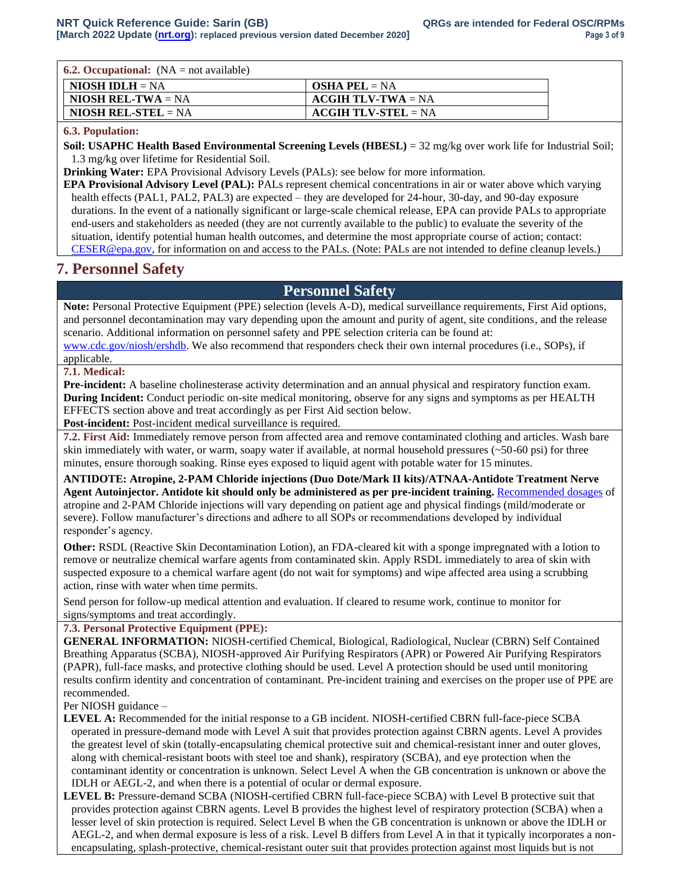|  |  | <b>6.2. Occupational:</b> $(NA = not available)$ |  |
|--|--|--------------------------------------------------|--|
|--|--|--------------------------------------------------|--|

| $NIOSH IDLH = NA$         | <b>OSHA PEL</b> = NA         |
|---------------------------|------------------------------|
| <b>NIOSH REL-TWA</b> = NA | $ACGIH TLV-TWA = NA$         |
| NIOSH REL-STEL $= NA$     | $\angle$ ACGIH TLV-STEL = NA |

### **6.3. Population:**

**Soil: USAPHC Health Based Environmental Screening Levels (HBESL)** = 32 mg/kg over work life for Industrial Soil; 1.3 mg/kg over lifetime for Residential Soil.

**Drinking Water:** EPA Provisional Advisory Levels (PALs): see below for more information.

**EPA Provisional Advisory Level (PAL):** PALs represent chemical concentrations in air or water above which varying health effects (PAL1, PAL2, PAL3) are expected – they are developed for 24-hour, 30-day, and 90-day exposure durations. In the event of a nationally significant or large-scale chemical release, EPA can provide PALs to appropriate end-users and stakeholders as needed (they are not currently available to the public) to evaluate the severity of the situation, identify potential human health outcomes, and determine the most appropriate course of action; contact: [CESER@epa.gov,](mailto:CESER@epa.gov) for information on and access to the PALs. (Note: PALs are not intended to define cleanup levels.)

### **7. Personnel Safety**

### **Personnel Safety**

**Note:** Personal Protective Equipment (PPE) selection (levels A-D), medical surveillance requirements, First Aid options, and personnel decontamination may vary depending upon the amount and purity of agent, site conditions, and the release scenario. Additional information on personnel safety and PPE selection criteria can be found at:

[www.cdc.gov/niosh/ershdb.](http://www.cdc.gov/niosh/ershdb) We also recommend that responders check their own internal procedures (i.e., SOPs), if applicable.

#### **7.1. Medical:**

**Pre-incident:** A baseline cholinesterase activity determination and an annual physical and respiratory function exam. **During Incident:** Conduct periodic on-site medical monitoring, observe for any signs and symptoms as per HEALTH EFFECTS section above and treat accordingly as per First Aid section below.

**Post-incident:** Post-incident medical surveillance is required.

**7.2. First Aid:** Immediately remove person from affected area and remove contaminated clothing and articles. Wash bare skin immediately with water, or warm, soapy water if available, at normal household pressures (~50-60 psi) for three minutes, ensure thorough soaking. Rinse eyes exposed to liquid agent with potable water for 15 minutes.

**ANTIDOTE: Atropine, 2-PAM Chloride injections (Duo Dote/Mark II kits)/ATNAA-Antidote Treatment Nerve Agent Autoinjector. Antidote kit should only be administered as per pre-incident training.** [Recommended dosages](https://www.cdc.gov/NIOSH/ershdb/EmergencyResponseCard_29750001.html) of atropine and 2-PAM Chloride injections will vary depending on patient age and physical findings (mild/moderate or severe). Follow manufacturer's directions and adhere to all SOPs or recommendations developed by individual responder's agency.

**Other:** RSDL (Reactive Skin Decontamination Lotion), an FDA-cleared kit with a sponge impregnated with a lotion to remove or neutralize chemical warfare agents from contaminated skin. Apply RSDL immediately to area of skin with suspected exposure to a chemical warfare agent (do not wait for symptoms) and wipe affected area using a scrubbing action, rinse with water when time permits.

Send person for follow-up medical attention and evaluation. If cleared to resume work, continue to monitor for signs/symptoms and treat accordingly.

#### **7.3. Personal Protective Equipment (PPE):**

**GENERAL INFORMATION:** NIOSH-certified Chemical, Biological, Radiological, Nuclear (CBRN) Self Contained Breathing Apparatus (SCBA), NIOSH-approved Air Purifying Respirators (APR) or Powered Air Purifying Respirators (PAPR), full-face masks, and protective clothing should be used. Level A protection should be used until monitoring results confirm identity and concentration of contaminant. Pre-incident training and exercises on the proper use of PPE are recommended.

Per NIOSH guidance –

**LEVEL A:** Recommended for the initial response to a GB incident. NIOSH-certified CBRN full-face-piece SCBA operated in pressure-demand mode with Level A suit that provides protection against CBRN agents. Level A provides the greatest level of skin (totally-encapsulating chemical protective suit and chemical-resistant inner and outer gloves, along with chemical-resistant boots with steel toe and shank), respiratory (SCBA), and eye protection when the contaminant identity or concentration is unknown. Select Level A when the GB concentration is unknown or above the IDLH or AEGL-2, and when there is a potential of ocular or dermal exposure.

**LEVEL B:** Pressure-demand SCBA (NIOSH-certified CBRN full-face-piece SCBA) with Level B protective suit that provides protection against CBRN agents. Level B provides the highest level of respiratory protection (SCBA) when a lesser level of skin protection is required. Select Level B when the GB concentration is unknown or above the IDLH or AEGL-2, and when dermal exposure is less of a risk. Level B differs from Level A in that it typically incorporates a nonencapsulating, splash-protective, chemical-resistant outer suit that provides protection against most liquids but is not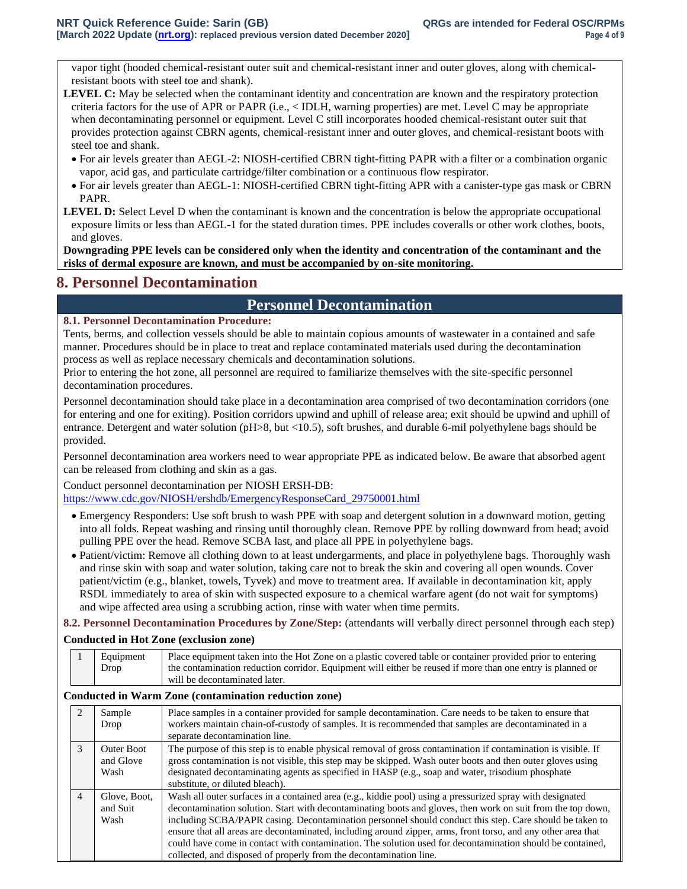vapor tight (hooded chemical-resistant outer suit and chemical-resistant inner and outer gloves, along with chemicalresistant boots with steel toe and shank).

- **LEVEL C:** May be selected when the contaminant identity and concentration are known and the respiratory protection criteria factors for the use of APR or PAPR (i.e., < IDLH, warning properties) are met. Level C may be appropriate when decontaminating personnel or equipment. Level C still incorporates hooded chemical-resistant outer suit that provides protection against CBRN agents, chemical-resistant inner and outer gloves, and chemical-resistant boots with steel toe and shank.
	- For air levels greater than AEGL-2: NIOSH-certified CBRN tight-fitting PAPR with a filter or a combination organic vapor, acid gas, and particulate cartridge/filter combination or a continuous flow respirator.
	- For air levels greater than AEGL-1: NIOSH-certified CBRN tight-fitting APR with a canister-type gas mask or CBRN PAPR.
- **LEVEL D:** Select Level D when the contaminant is known and the concentration is below the appropriate occupational exposure limits or less than AEGL-1 for the stated duration times. PPE includes coveralls or other work clothes, boots, and gloves.

**Downgrading PPE levels can be considered only when the identity and concentration of the contaminant and the risks of dermal exposure are known, and must be accompanied by on-site monitoring.**

## **8. Personnel Decontamination**

## **Personnel Decontamination**

### **8.1. Personnel Decontamination Procedure:**

Tents, berms, and collection vessels should be able to maintain copious amounts of wastewater in a contained and safe manner. Procedures should be in place to treat and replace contaminated materials used during the decontamination process as well as replace necessary chemicals and decontamination solutions.

Prior to entering the hot zone, all personnel are required to familiarize themselves with the site-specific personnel decontamination procedures.

Personnel decontamination should take place in a decontamination area comprised of two decontamination corridors (one for entering and one for exiting). Position corridors upwind and uphill of release area; exit should be upwind and uphill of entrance. Detergent and water solution (pH>8, but <10.5), soft brushes, and durable 6-mil polyethylene bags should be provided.

Personnel decontamination area workers need to wear appropriate PPE as indicated below. Be aware that absorbed agent can be released from clothing and skin as a gas.

Conduct personnel decontamination per NIOSH ERSH-DB:

[https://www.cdc.gov/NIOSH/ershdb/EmergencyResponseCard\\_29750001.html](https://www.cdc.gov/NIOSH/ershdb/EmergencyResponseCard_29750001.html)

- Emergency Responders: Use soft brush to wash PPE with soap and detergent solution in a downward motion, getting into all folds. Repeat washing and rinsing until thoroughly clean. Remove PPE by rolling downward from head; avoid pulling PPE over the head. Remove SCBA last, and place all PPE in polyethylene bags.
- Patient/victim: Remove all clothing down to at least undergarments, and place in polyethylene bags. Thoroughly wash and rinse skin with soap and water solution, taking care not to break the skin and covering all open wounds. Cover patient/victim (e.g., blanket, towels, Tyvek) and move to treatment area. If available in decontamination kit, apply RSDL immediately to area of skin with suspected exposure to a chemical warfare agent (do not wait for symptoms) and wipe affected area using a scrubbing action, rinse with water when time permits.

**8.2. Personnel Decontamination Procedures by Zone/Step:** (attendants will verbally direct personnel through each step)

#### **Conducted in Hot Zone (exclusion zone)**

| Equipment | Place equipment taken into the Hot Zone on a plastic covered table or container provided prior to entering |
|-----------|------------------------------------------------------------------------------------------------------------|
| Drop      | the contamination reduction corridor. Equipment will either be reused if more than one entry is planned or |
|           | will be decontaminated later.                                                                              |

#### **Conducted in Warm Zone (contamination reduction zone)**

|                | Sample<br>Drop                         | Place samples in a container provided for sample decontamination. Care needs to be taken to ensure that<br>workers maintain chain-of-custody of samples. It is recommended that samples are decontaminated in a<br>separate decontamination line.                                                                                                                                                                                                                                                                                                                                                                                       |
|----------------|----------------------------------------|-----------------------------------------------------------------------------------------------------------------------------------------------------------------------------------------------------------------------------------------------------------------------------------------------------------------------------------------------------------------------------------------------------------------------------------------------------------------------------------------------------------------------------------------------------------------------------------------------------------------------------------------|
| $\mathcal{E}$  | <b>Outer Boot</b><br>and Glove<br>Wash | The purpose of this step is to enable physical removal of gross contamination if contamination is visible. If<br>gross contamination is not visible, this step may be skipped. Wash outer boots and then outer gloves using<br>designated decontaminating agents as specified in HASP (e.g., soap and water, trisodium phosphate<br>substitute, or diluted bleach).                                                                                                                                                                                                                                                                     |
| $\overline{4}$ | Glove, Boot,<br>and Suit<br>Wash       | Wash all outer surfaces in a contained area (e.g., kiddie pool) using a pressurized spray with designated<br>decontamination solution. Start with decontaminating boots and gloves, then work on suit from the top down,<br>including SCBA/PAPR casing. Decontamination personnel should conduct this step. Care should be taken to<br>ensure that all areas are decontaminated, including around zipper, arms, front torso, and any other area that<br>could have come in contact with contamination. The solution used for decontamination should be contained,<br>collected, and disposed of properly from the decontamination line. |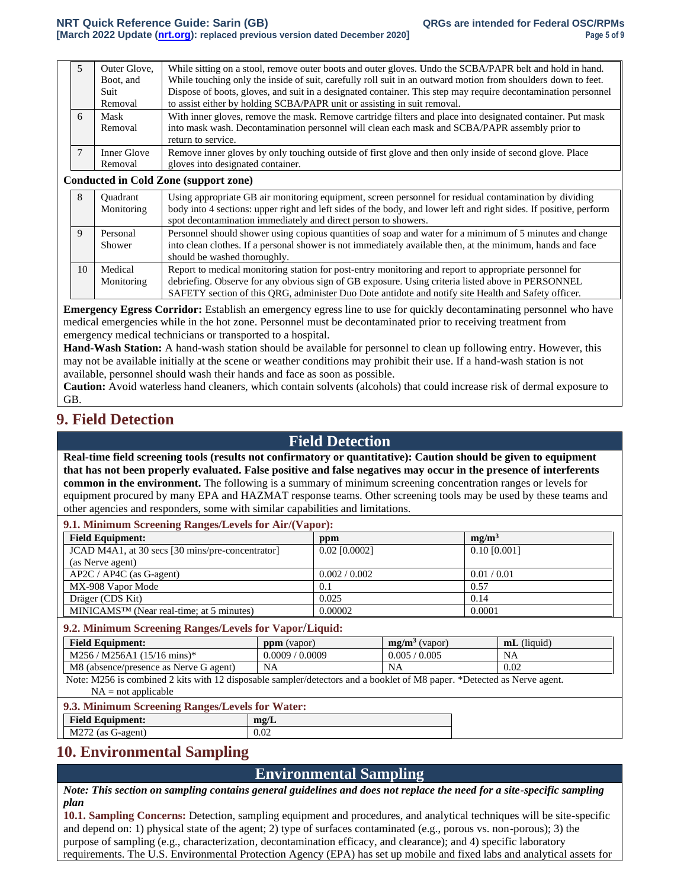|   | Outer Glove,<br>Boot, and<br>Suit | While sitting on a stool, remove outer boots and outer gloves. Undo the SCBA/PAPR belt and hold in hand.<br>While touching only the inside of suit, carefully roll suit in an outward motion from shoulders down to feet.<br>Dispose of boots, gloves, and suit in a designated container. This step may require decontamination personnel |
|---|-----------------------------------|--------------------------------------------------------------------------------------------------------------------------------------------------------------------------------------------------------------------------------------------------------------------------------------------------------------------------------------------|
|   | Removal                           | to assist either by holding SCBA/PAPR unit or assisting in suit removal.                                                                                                                                                                                                                                                                   |
| 6 | Mask<br>Removal                   | With inner gloves, remove the mask. Remove cartridge filters and place into designated container. Put mask<br>into mask wash. Decontamination personnel will clean each mask and SCBA/PAPR assembly prior to<br>return to service.                                                                                                         |
|   | Inner Glove<br>Removal            | Remove inner gloves by only touching outside of first glove and then only inside of second glove. Place<br>gloves into designated container.                                                                                                                                                                                               |

#### **Conducted in Cold Zone (support zone)**

|    | Ouadrant<br>Monitoring | Using appropriate GB air monitoring equipment, screen personnel for residual contamination by dividing<br>body into 4 sections: upper right and left sides of the body, and lower left and right sides. If positive, perform<br>spot decontamination immediately and direct person to showers.                     |
|----|------------------------|--------------------------------------------------------------------------------------------------------------------------------------------------------------------------------------------------------------------------------------------------------------------------------------------------------------------|
|    | Personal<br>Shower     | Personnel should shower using copious quantities of soap and water for a minimum of 5 minutes and change<br>into clean clothes. If a personal shower is not immediately available then, at the minimum, hands and face<br>should be washed thoroughly.                                                             |
| 10 | Medical<br>Monitoring  | Report to medical monitoring station for post-entry monitoring and report to appropriate personnel for<br>debriefing. Observe for any obvious sign of GB exposure. Using criteria listed above in PERSONNEL<br>SAFETY section of this QRG, administer Duo Dote antidote and notify site Health and Safety officer. |

**Emergency Egress Corridor:** Establish an emergency egress line to use for quickly decontaminating personnel who have medical emergencies while in the hot zone. Personnel must be decontaminated prior to receiving treatment from emergency medical technicians or transported to a hospital.

**Hand-Wash Station:** A hand-wash station should be available for personnel to clean up following entry. However, this may not be available initially at the scene or weather conditions may prohibit their use. If a hand-wash station is not available, personnel should wash their hands and face as soon as possible.

**Caution:** Avoid waterless hand cleaners, which contain solvents (alcohols) that could increase risk of dermal exposure to GB.

### **9. Field Detection**

### **Field Detection**

**Real-time field screening tools (results not confirmatory or quantitative): Caution should be given to equipment that has not been properly evaluated. False positive and false negatives may occur in the presence of interferents common in the environment.** The following is a summary of minimum screening concentration ranges or levels for equipment procured by many EPA and HAZMAT response teams. Other screening tools may be used by these teams and other agencies and responders, some with similar capabilities and limitations.

**9.1. Minimum Screening Ranges/Levels for Air/(Vapor):**

| <b>Field Equipment:</b>                               | ppm             | me/m <sup>3</sup> |
|-------------------------------------------------------|-----------------|-------------------|
| JCAD M4A1, at 30 secs [30 mins/pre-concentrator]      | $0.02$ [0.0002] | $0.10$ [0.001]    |
| (as Nerve agent)                                      |                 |                   |
| $AP2C / AP4C$ (as G-agent)                            | 0.002 / 0.002   | 0.01 / 0.01       |
| MX-908 Vapor Mode                                     | 0.1             | 0.57              |
| Dräger (CDS Kit)                                      | 0.025           | 0.14              |
| MINICAMS <sup>TM</sup> (Near real-time; at 5 minutes) | 0.00002         | 0.0001            |

**9.2. Minimum Screening Ranges/Levels for Vapor**/**Liquid:**

| <b>Field Equipment:</b>                    | ppm     | $\mathbf{m}\mathbf{g}/\mathbf{m}^3$ | (liquid)       |
|--------------------------------------------|---------|-------------------------------------|----------------|
|                                            | (vapor) | (vapor)                             | m <sub>L</sub> |
| $/M256A1 (15/16 mins)^*$                   | 0.0009  | 0.005                               | <b>NA</b>      |
| M256/                                      | .0009   | 0.005                               |                |
| M8(<br>(absence/presence as Nerve G agent) | NA      | NA                                  | 0.02           |

Note: M256 is combined 2 kits with 12 disposable sampler/detectors and a booklet of M8 paper. \*Detected as Nerve agent.  $NA = not applicable$ 

#### **9.3. Minimum Screening Ranges/Levels for Water:**

| <b>Field Equipment:</b>            | $m\mathfrak{L}/L$ |
|------------------------------------|-------------------|
| M272<br>$\angle$ (as C<br>G-agent) | v.v∠              |
|                                    |                   |

### **10. Environmental Sampling**

### **Environmental Sampling**

*Note: This section on sampling contains general guidelines and does not replace the need for a site-specific sampling plan*

**10.1. Sampling Concerns:** Detection, sampling equipment and procedures, and analytical techniques will be site-specific and depend on: 1) physical state of the agent; 2) type of surfaces contaminated (e.g., porous vs. non-porous); 3) the purpose of sampling (e.g., characterization, decontamination efficacy, and clearance); and 4) specific laboratory requirements. The U.S. Environmental Protection Agency (EPA) has set up mobile and fixed labs and analytical assets for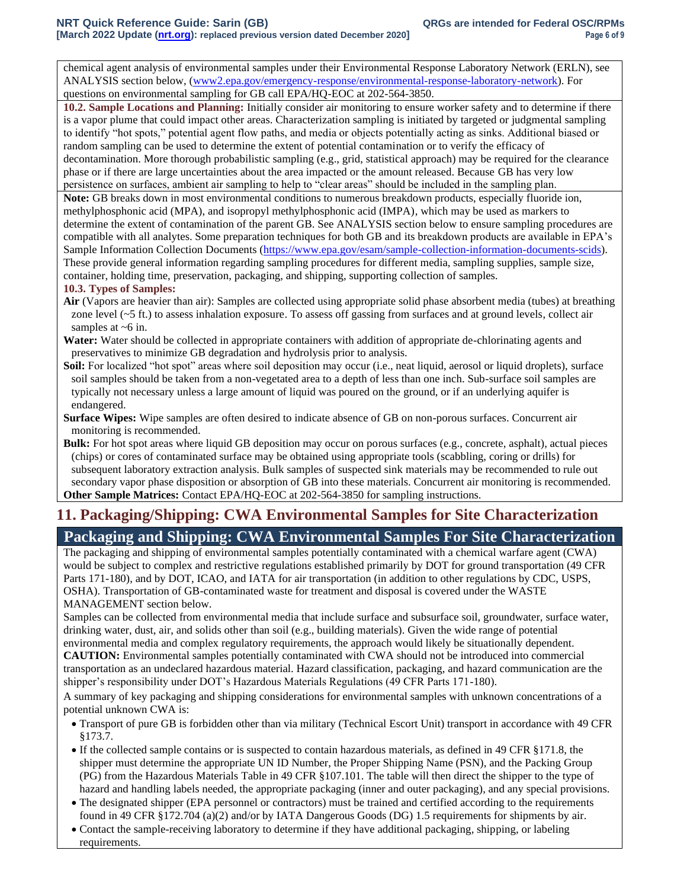chemical agent analysis of environmental samples under their Environmental Response Laboratory Network (ERLN), see ANALYSIS section below, [\(www2.epa.gov/emergency-response/environmental-response-laboratory-network\)](http://www2.epa.gov/emergency-response/environmental-response-laboratory-network). For questions on environmental sampling for GB call EPA/HQ-EOC at 202-564-3850.

**10.2. Sample Locations and Planning:** Initially consider air monitoring to ensure worker safety and to determine if there is a vapor plume that could impact other areas. Characterization sampling is initiated by targeted or judgmental sampling to identify "hot spots," potential agent flow paths, and media or objects potentially acting as sinks. Additional biased or random sampling can be used to determine the extent of potential contamination or to verify the efficacy of decontamination. More thorough probabilistic sampling (e.g., grid, statistical approach) may be required for the clearance phase or if there are large uncertainties about the area impacted or the amount released. Because GB has very low persistence on surfaces, ambient air sampling to help to "clear areas" should be included in the sampling plan.

**Note:** GB breaks down in most environmental conditions to numerous breakdown products, especially fluoride ion, methylphosphonic acid (MPA), and isopropyl methylphosphonic acid (IMPA), which may be used as markers to determine the extent of contamination of the parent GB. See ANALYSIS section below to ensure sampling procedures are compatible with all analytes. Some preparation techniques for both GB and its breakdown products are available in EPA's Sample Information Collection Documents [\(https://www.epa.gov/esam/sample-collection-information-documents-scids\)](https://www.epa.gov/esam/sample-collection-information-documents-scids). These provide general information regarding sampling procedures for different media, sampling supplies, sample size, container, holding time, preservation, packaging, and shipping, supporting collection of samples.

#### **10.3. Types of Samples:**

- **Air** (Vapors are heavier than air): Samples are collected using appropriate solid phase absorbent media (tubes) at breathing zone level (~5 ft.) to assess inhalation exposure. To assess off gassing from surfaces and at ground levels, collect air samples at  $~6$  in.
- **Water:** Water should be collected in appropriate containers with addition of appropriate de-chlorinating agents and preservatives to minimize GB degradation and hydrolysis prior to analysis.
- **Soil:** For localized "hot spot" areas where soil deposition may occur (i.e., neat liquid, aerosol or liquid droplets), surface soil samples should be taken from a non-vegetated area to a depth of less than one inch. Sub-surface soil samples are typically not necessary unless a large amount of liquid was poured on the ground, or if an underlying aquifer is endangered.
- **Surface Wipes:** Wipe samples are often desired to indicate absence of GB on non-porous surfaces. Concurrent air monitoring is recommended.

**Bulk:** For hot spot areas where liquid GB deposition may occur on porous surfaces (e.g., concrete, asphalt), actual pieces (chips) or cores of contaminated surface may be obtained using appropriate tools (scabbling, coring or drills) for subsequent laboratory extraction analysis. Bulk samples of suspected sink materials may be recommended to rule out secondary vapor phase disposition or absorption of GB into these materials. Concurrent air monitoring is recommended. **Other Sample Matrices:** Contact EPA/HQ-EOC at 202-564-3850 for sampling instructions.

# **11. Packaging/Shipping: CWA Environmental Samples for Site Characterization Packaging and Shipping: CWA Environmental Samples For Site Characterization**

The packaging and shipping of environmental samples potentially contaminated with a chemical warfare agent (CWA) would be subject to complex and restrictive regulations established primarily by DOT for ground transportation (49 CFR Parts 171-180), and by DOT, ICAO, and IATA for air transportation (in addition to other regulations by CDC, USPS, OSHA). Transportation of GB-contaminated waste for treatment and disposal is covered under the WASTE MANAGEMENT section below.

Samples can be collected from environmental media that include surface and subsurface soil, groundwater, surface water, drinking water, dust, air, and solids other than soil (e.g., building materials). Given the wide range of potential environmental media and complex regulatory requirements, the approach would likely be situationally dependent. **CAUTION:** Environmental samples potentially contaminated with CWA should not be introduced into commercial

transportation as an undeclared hazardous material. Hazard classification, packaging, and hazard communication are the shipper's responsibility under DOT's Hazardous Materials Regulations (49 CFR Parts 171-180).

A summary of key packaging and shipping considerations for environmental samples with unknown concentrations of a potential unknown CWA is:

- Transport of pure GB is forbidden other than via military (Technical Escort Unit) transport in accordance with 49 CFR §173.7.
- If the collected sample contains or is suspected to contain hazardous materials, as defined in 49 CFR §171.8, the shipper must determine the appropriate UN ID Number, the Proper Shipping Name (PSN), and the Packing Group (PG) from the Hazardous Materials Table in 49 CFR §107.101. The table will then direct the shipper to the type of hazard and handling labels needed, the appropriate packaging (inner and outer packaging), and any special provisions.
- The designated shipper (EPA personnel or contractors) must be trained and certified according to the requirements found in 49 CFR §172.704 (a)(2) and/or by IATA Dangerous Goods (DG) 1.5 requirements for shipments by air.
- Contact the sample-receiving laboratory to determine if they have additional packaging, shipping, or labeling requirements.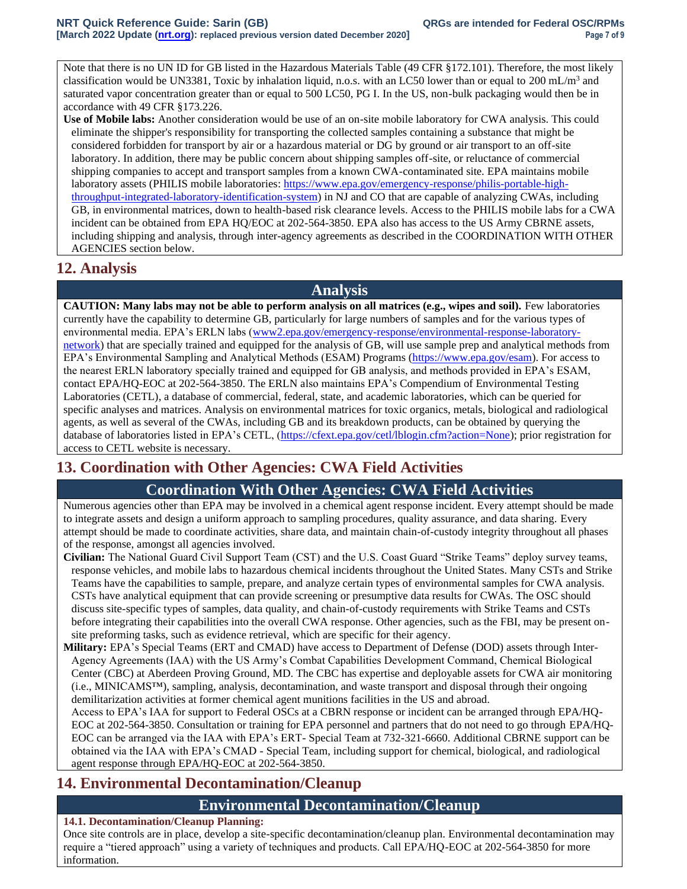Note that there is no UN ID for GB listed in the Hazardous Materials Table (49 CFR §172.101). Therefore, the most likely classification would be UN3381, Toxic by inhalation liquid, n.o.s. with an LC50 lower than or equal to 200 mL/m<sup>3</sup> and saturated vapor concentration greater than or equal to 500 LC50, PG I. In the US, non-bulk packaging would then be in accordance with 49 CFR §173.226.

**Use of Mobile labs:** Another consideration would be use of an on-site mobile laboratory for CWA analysis. This could eliminate the shipper's responsibility for transporting the collected samples containing a substance that might be considered forbidden for transport by air or a hazardous material or DG by ground or air transport to an off-site laboratory. In addition, there may be public concern about shipping samples off-site, or reluctance of commercial shipping companies to accept and transport samples from a known CWA-contaminated site. EPA maintains mobile laboratory assets (PHILIS mobile laboratories: [https://www.epa.gov/emergency-response/philis-portable-high](https://www.epa.gov/emergency-response/philis-portable-high-throughput-integrated-laboratory-identification-system)[throughput-integrated-laboratory-identification-system\)](https://www.epa.gov/emergency-response/philis-portable-high-throughput-integrated-laboratory-identification-system) in NJ and CO that are capable of analyzing CWAs, including GB, in environmental matrices, down to health-based risk clearance levels. Access to the PHILIS mobile labs for a CWA incident can be obtained from EPA HQ/EOC at 202-564-3850. EPA also has access to the US Army CBRNE assets, including shipping and analysis, through inter-agency agreements as described in the COORDINATION WITH OTHER AGENCIES section below.

## **12. Analysis**

## **Analysis**

**CAUTION: Many labs may not be able to perform analysis on all matrices (e.g., wipes and soil).** Few laboratories currently have the capability to determine GB, particularly for large numbers of samples and for the various types of environmental media. EPA's ERLN labs [\(www2.epa.gov/emergency-response/environmental-response-laboratory](http://www2.epa.gov/emergency-response/environmental-response-laboratory-network)[network\)](http://www2.epa.gov/emergency-response/environmental-response-laboratory-network) that are specially trained and equipped for the analysis of GB, will use sample prep and analytical methods from EPA's Environmental Sampling and Analytical Methods (ESAM) Programs [\(https://www.epa.gov/esam\)](https://www.epa.gov/esam). For access to the nearest ERLN laboratory specially trained and equipped for GB analysis, and methods provided in EPA's ESAM, contact EPA/HQ-EOC at 202-564-3850. The ERLN also maintains EPA's Compendium of Environmental Testing Laboratories (CETL), a database of commercial, federal, state, and academic laboratories, which can be queried for specific analyses and matrices. Analysis on environmental matrices for toxic organics, metals, biological and radiological agents, as well as several of the CWAs, including GB and its breakdown products, can be obtained by querying the database of laboratories listed in EPA's CETL, [\(https://cfext.epa.gov/cetl/lblogin.cfm?action=None\)](https://cfext.epa.gov/cetl/lblogin.cfm?action=None); prior registration for access to CETL website is necessary.

# **13. Coordination with Other Agencies: CWA Field Activities**

# **Coordination With Other Agencies: CWA Field Activities**

Numerous agencies other than EPA may be involved in a chemical agent response incident. Every attempt should be made to integrate assets and design a uniform approach to sampling procedures, quality assurance, and data sharing. Every attempt should be made to coordinate activities, share data, and maintain chain-of-custody integrity throughout all phases of the response, amongst all agencies involved.

**Civilian:** The National Guard Civil Support Team (CST) and the U.S. Coast Guard "Strike Teams" deploy survey teams, response vehicles, and mobile labs to hazardous chemical incidents throughout the United States. Many CSTs and Strike Teams have the capabilities to sample, prepare, and analyze certain types of environmental samples for CWA analysis. CSTs have analytical equipment that can provide screening or presumptive data results for CWAs. The OSC should discuss site-specific types of samples, data quality, and chain-of-custody requirements with Strike Teams and CSTs before integrating their capabilities into the overall CWA response. Other agencies, such as the FBI, may be present onsite preforming tasks, such as evidence retrieval, which are specific for their agency.

**Military:** EPA's Special Teams (ERT and CMAD) have access to Department of Defense (DOD) assets through Inter-Agency Agreements (IAA) with the US Army's Combat Capabilities Development Command, Chemical Biological Center (CBC) at Aberdeen Proving Ground, MD. The CBC has expertise and deployable assets for CWA air monitoring (i.e., MINICAMS™), sampling, analysis, decontamination, and waste transport and disposal through their ongoing demilitarization activities at former chemical agent munitions facilities in the US and abroad.

Access to EPA's IAA for support to Federal OSCs at a CBRN response or incident can be arranged through EPA/HQ-EOC at 202-564-3850. Consultation or training for EPA personnel and partners that do not need to go through EPA/HQ-EOC can be arranged via the IAA with EPA's ERT- Special Team at 732-321-6660. Additional CBRNE support can be obtained via the IAA with EPA's CMAD - Special Team, including support for chemical, biological, and radiological agent response through EPA/HQ-EOC at 202-564-3850.

# **14. Environmental Decontamination/Cleanup**

## **Environmental Decontamination/Cleanup**

### **14.1. Decontamination/Cleanup Planning:**

Once site controls are in place, develop a site-specific decontamination/cleanup plan. Environmental decontamination may require a "tiered approach" using a variety of techniques and products. Call EPA/HQ-EOC at 202-564-3850 for more information.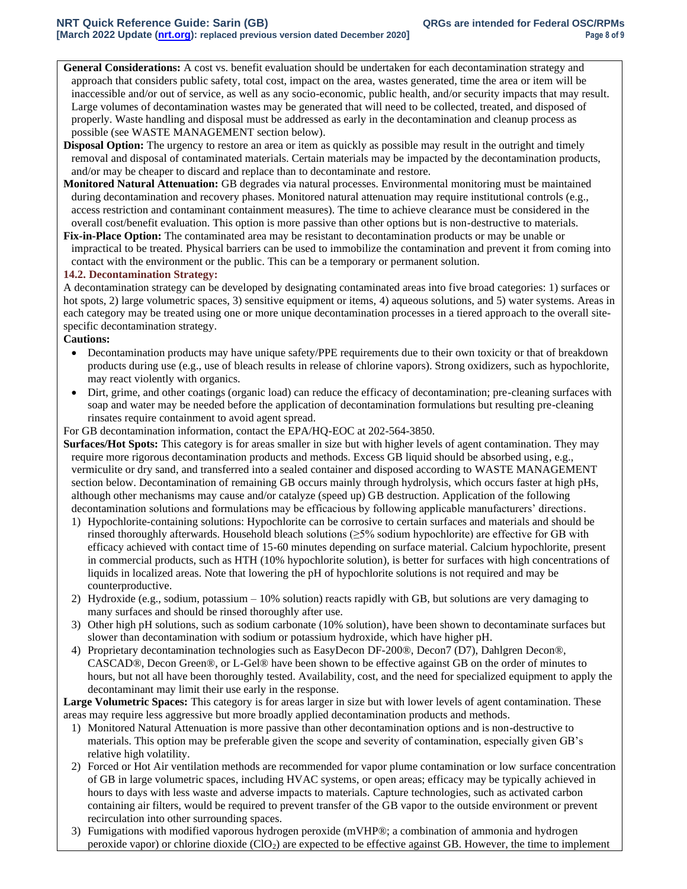**General Considerations:** A cost vs. benefit evaluation should be undertaken for each decontamination strategy and approach that considers public safety, total cost, impact on the area, wastes generated, time the area or item will be inaccessible and/or out of service, as well as any socio-economic, public health, and/or security impacts that may result. Large volumes of decontamination wastes may be generated that will need to be collected, treated, and disposed of properly. Waste handling and disposal must be addressed as early in the decontamination and cleanup process as possible (see WASTE MANAGEMENT section below).

- **Disposal Option:** The urgency to restore an area or item as quickly as possible may result in the outright and timely removal and disposal of contaminated materials. Certain materials may be impacted by the decontamination products, and/or may be cheaper to discard and replace than to decontaminate and restore.
- **Monitored Natural Attenuation:** GB degrades via natural processes. Environmental monitoring must be maintained during decontamination and recovery phases. Monitored natural attenuation may require institutional controls (e.g., access restriction and contaminant containment measures). The time to achieve clearance must be considered in the overall cost/benefit evaluation. This option is more passive than other options but is non-destructive to materials.
- **Fix-in-Place Option:** The contaminated area may be resistant to decontamination products or may be unable or impractical to be treated. Physical barriers can be used to immobilize the contamination and prevent it from coming into contact with the environment or the public. This can be a temporary or permanent solution.

#### **14.2. Decontamination Strategy:**

A decontamination strategy can be developed by designating contaminated areas into five broad categories: 1) surfaces or hot spots, 2) large volumetric spaces, 3) sensitive equipment or items, 4) aqueous solutions, and 5) water systems. Areas in each category may be treated using one or more unique decontamination processes in a tiered approach to the overall sitespecific decontamination strategy.

#### **Cautions:**

- Decontamination products may have unique safety/PPE requirements due to their own toxicity or that of breakdown products during use (e.g., use of bleach results in release of chlorine vapors). Strong oxidizers, such as hypochlorite, may react violently with organics.
- Dirt, grime, and other coatings (organic load) can reduce the efficacy of decontamination; pre-cleaning surfaces with soap and water may be needed before the application of decontamination formulations but resulting pre-cleaning rinsates require containment to avoid agent spread.

For GB decontamination information, contact the EPA/HQ-EOC at 202-564-3850.

- **Surfaces/Hot Spots:** This category is for areas smaller in size but with higher levels of agent contamination. They may require more rigorous decontamination products and methods. Excess GB liquid should be absorbed using, e.g., vermiculite or dry sand, and transferred into a sealed container and disposed according to WASTE MANAGEMENT section below. Decontamination of remaining GB occurs mainly through hydrolysis, which occurs faster at high pHs, although other mechanisms may cause and/or catalyze (speed up) GB destruction. Application of the following decontamination solutions and formulations may be efficacious by following applicable manufacturers' directions.
	- 1) Hypochlorite-containing solutions: Hypochlorite can be corrosive to certain surfaces and materials and should be rinsed thoroughly afterwards. Household bleach solutions (≥5% sodium hypochlorite) are effective for GB with efficacy achieved with contact time of 15-60 minutes depending on surface material. Calcium hypochlorite, present in commercial products, such as HTH (10% hypochlorite solution), is better for surfaces with high concentrations of liquids in localized areas. Note that lowering the pH of hypochlorite solutions is not required and may be counterproductive.
	- 2) Hydroxide (e.g., sodium, potassium 10% solution) reacts rapidly with GB, but solutions are very damaging to many surfaces and should be rinsed thoroughly after use.
	- 3) Other high pH solutions, such as sodium carbonate (10% solution), have been shown to decontaminate surfaces but slower than decontamination with sodium or potassium hydroxide, which have higher pH.
	- 4) Proprietary decontamination technologies such as EasyDecon DF-200®, Decon7 (D7), Dahlgren Decon®, CASCAD®, Decon Green®, or L-Gel® have been shown to be effective against GB on the order of minutes to hours, but not all have been thoroughly tested. Availability, cost, and the need for specialized equipment to apply the decontaminant may limit their use early in the response.

**Large Volumetric Spaces:** This category is for areas larger in size but with lower levels of agent contamination. These areas may require less aggressive but more broadly applied decontamination products and methods.

- 1) Monitored Natural Attenuation is more passive than other decontamination options and is non-destructive to materials. This option may be preferable given the scope and severity of contamination, especially given GB's relative high volatility.
- 2) Forced or Hot Air ventilation methods are recommended for vapor plume contamination or low surface concentration of GB in large volumetric spaces, including HVAC systems, or open areas; efficacy may be typically achieved in hours to days with less waste and adverse impacts to materials. Capture technologies, such as activated carbon containing air filters, would be required to prevent transfer of the GB vapor to the outside environment or prevent recirculation into other surrounding spaces.
- 3) Fumigations with modified vaporous hydrogen peroxide (mVHP®; a combination of ammonia and hydrogen peroxide vapor) or chlorine dioxide (ClO2) are expected to be effective against GB. However, the time to implement